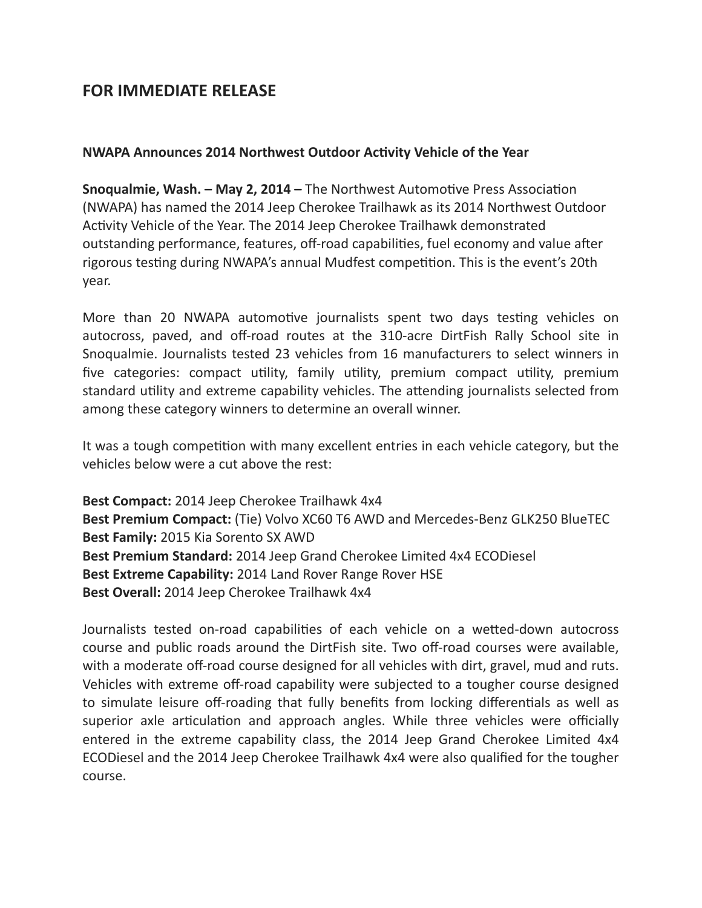## **FOR IMMEDIATE RELEASE**

## **NWAPA Announces 2014 Northwest Outdoor Activity Vehicle of the Year**

**Snoqualmie, Wash. – May 2, 2014 – The Northwest Automotive Press Association** (NWAPA) has named the 2014 Jeep Cherokee Trailhawk as its 2014 Northwest Outdoor Activity Vehicle of the Year. The 2014 Jeep Cherokee Trailhawk demonstrated outstanding performance, features, off-road capabilities, fuel economy and value after rigorous testing during NWAPA's annual Mudfest competition. This is the event's 20th year.

More than 20 NWAPA automotive journalists spent two days testing vehicles on autocross, paved, and off-road routes at the 310-acre DirtFish Rally School site in Snoqualmie. Journalists tested 23 vehicles from 16 manufacturers to select winners in five categories: compact utility, family utility, premium compact utility, premium standard utility and extreme capability vehicles. The attending journalists selected from among these category winners to determine an overall winner.

It was a tough competition with many excellent entries in each vehicle category, but the vehicles below were a cut above the rest:

**Best Compact:** 2014 Jeep Cherokee Trailhawk 4x4 **Best Premium Compact:** (Tie) Volvo XC60 T6 AWD and Mercedes-Benz GLK250 BlueTEC **Best Family:** 2015 Kia Sorento SX AWD **Best Premium Standard:** 2014 Jeep Grand Cherokee Limited 4x4 ECODiesel **Best Extreme Capability:** 2014 Land Rover Range Rover HSE **Best Overall:** 2014 Jeep Cherokee Trailhawk 4x4

Journalists tested on-road capabilities of each vehicle on a wetted-down autocross course and public roads around the DirtFish site. Two off-road courses were available, with a moderate off-road course designed for all vehicles with dirt, gravel, mud and ruts. Vehicles with extreme off-road capability were subjected to a tougher course designed to simulate leisure off-roading that fully benefits from locking differentials as well as superior axle articulation and approach angles. While three vehicles were officially entered in the extreme capability class, the 2014 Jeep Grand Cherokee Limited 4x4 ECODiesel and the 2014 Jeep Cherokee Trailhawk 4x4 were also qualified for the tougher course.